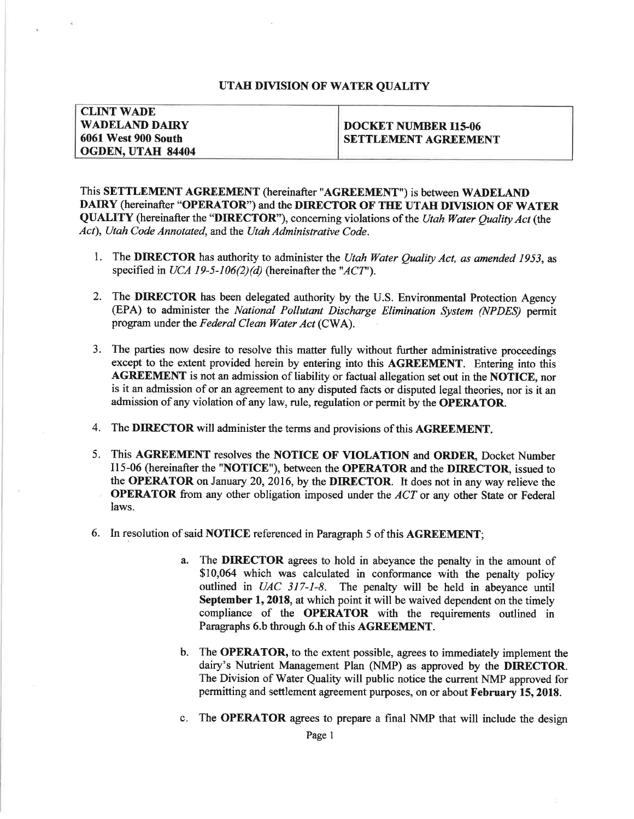## UTAH DIVISION OF WATER QUALITY

**CLINT WADE WADELAND DAIRY 6061 West 900 South** OGDEN, UTAH 84404

## **DOCKET NUMBER I15-06 SETTLEMENT AGREEMENT**

This SETTLEMENT AGREEMENT (hereinafter "AGREEMENT") is between WADELAND DAIRY (hereinafter "OPERATOR") and the DIRECTOR OF THE UTAH DIVISION OF WATER QUALITY (hereinafter the "DIRECTOR"), concerning violations of the Utah Water Quality Act (the Act), Utah Code Annotated, and the Utah Administrative Code.

- 1. The DIRECTOR has authority to administer the Utah Water Ouality Act. as amended 1953, as specified in UCA 19-5-106(2)(d) (hereinafter the "ACT").
- 2. The **DIRECTOR** has been delegated authority by the U.S. Environmental Protection Agency (EPA) to administer the National Pollutant Discharge Elimination System (NPDES) permit program under the Federal Clean Water Act (CWA).
- 3. The parties now desire to resolve this matter fully without further administrative proceedings except to the extent provided herein by entering into this AGREEMENT. Entering into this AGREEMENT is not an admission of liability or factual allegation set out in the NOTICE, nor is it an admission of or an agreement to any disputed facts or disputed legal theories, nor is it an admission of any violation of any law, rule, regulation or permit by the **OPERATOR**.
- 4. The DIRECTOR will administer the terms and provisions of this AGREEMENT.
- 5. This AGREEMENT resolves the NOTICE OF VIOLATION and ORDER, Docket Number 115-06 (hereinafter the "NOTICE"), between the OPERATOR and the DIRECTOR, issued to the OPERATOR on January 20, 2016, by the DIRECTOR. It does not in any way relieve the **OPERATOR** from any other obligation imposed under the ACT or any other State or Federal laws.
- 6. In resolution of said NOTICE referenced in Paragraph 5 of this AGREEMENT;
	- The **DIRECTOR** agrees to hold in abeyance the penalty in the amount of a. \$10,064 which was calculated in conformance with the penalty policy outlined in UAC 317-1-8. The penalty will be held in abeyance until September 1, 2018, at which point it will be waived dependent on the timely compliance of the OPERATOR with the requirements outlined in Paragraphs 6.b through 6.h of this AGREEMENT.
	- b. The OPERATOR, to the extent possible, agrees to immediately implement the dairy's Nutrient Management Plan (NMP) as approved by the DIRECTOR. The Division of Water Quality will public notice the current NMP approved for permitting and settlement agreement purposes, on or about February 15, 2018.
	- c. The OPERATOR agrees to prepare a final NMP that will include the design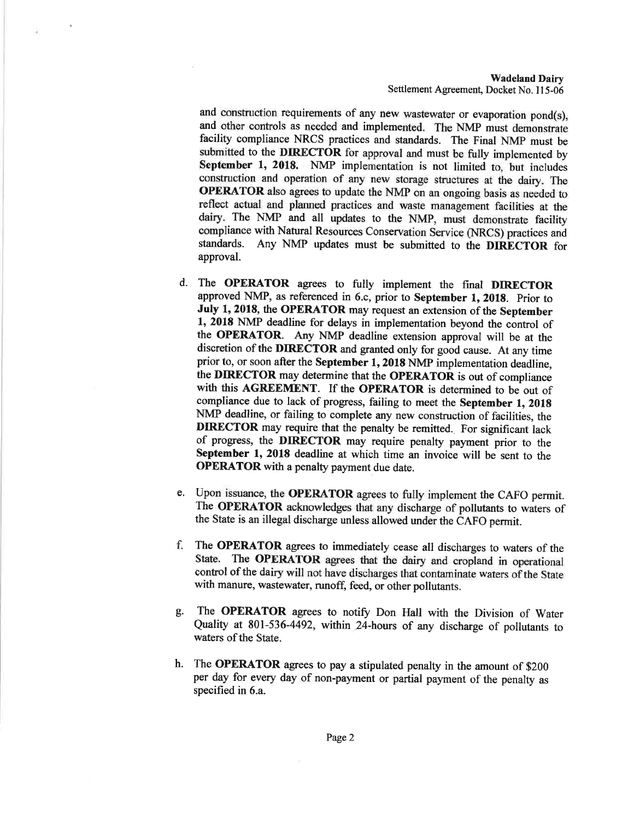**Wadeland Dairy** Settlement Agreement, Docket No. 115-06

and construction requirements of any new wastewater or evaporation pond(s), and other controls as needed and implemented. The NMP must demonstrate facility compliance NRCS practices and standards. The Final NMP must be submitted to the DIRECTOR for approval and must be fully implemented by September 1, 2018. NMP implementation is not limited to, but includes construction and operation of any new storage structures at the dairy. The OPERATOR also agrees to update the NMP on an ongoing basis as needed to reflect actual and planned practices and waste management facilities at the dairy. The NMP and all updates to the NMP, must demonstrate facility compliance with Natural Resources Conservation Service (NRCS) practices and standards. Any NMP updates must be submitted to the DIRECTOR for approval.

- d. The OPERATOR agrees to fully implement the final DIRECTOR approved NMP, as referenced in 6.c, prior to September 1, 2018. Prior to July 1, 2018, the OPERATOR may request an extension of the September 1, 2018 NMP deadline for delays in implementation beyond the control of the OPERATOR. Any NMP deadline extension approval will be at the discretion of the DIRECTOR and granted only for good cause. At any time prior to, or soon after the September 1, 2018 NMP implementation deadline, the DIRECTOR may determine that the OPERATOR is out of compliance with this AGREEMENT. If the OPERATOR is determined to be out of compliance due to lack of progress, failing to meet the September 1, 2018 NMP deadline, or failing to complete any new construction of facilities, the **DIRECTOR** may require that the penalty be remitted. For significant lack of progress, the DIRECTOR may require penalty payment prior to the September 1, 2018 deadline at which time an invoice will be sent to the **OPERATOR** with a penalty payment due date.
- e. Upon issuance, the OPERATOR agrees to fully implement the CAFO permit. The OPERATOR acknowledges that any discharge of pollutants to waters of the State is an illegal discharge unless allowed under the CAFO permit.
- f. The OPERATOR agrees to immediately cease all discharges to waters of the State. The OPERATOR agrees that the dairy and cropland in operational control of the dairy will not have discharges that contaminate waters of the State with manure, wastewater, runoff, feed, or other pollutants.
- The OPERATOR agrees to notify Don Hall with the Division of Water g. Quality at 801-536-4492, within 24-hours of any discharge of pollutants to waters of the State.
- The OPERATOR agrees to pay a stipulated penalty in the amount of \$200  $h_{\cdot}$ per day for every day of non-payment or partial payment of the penalty as specified in 6.a.